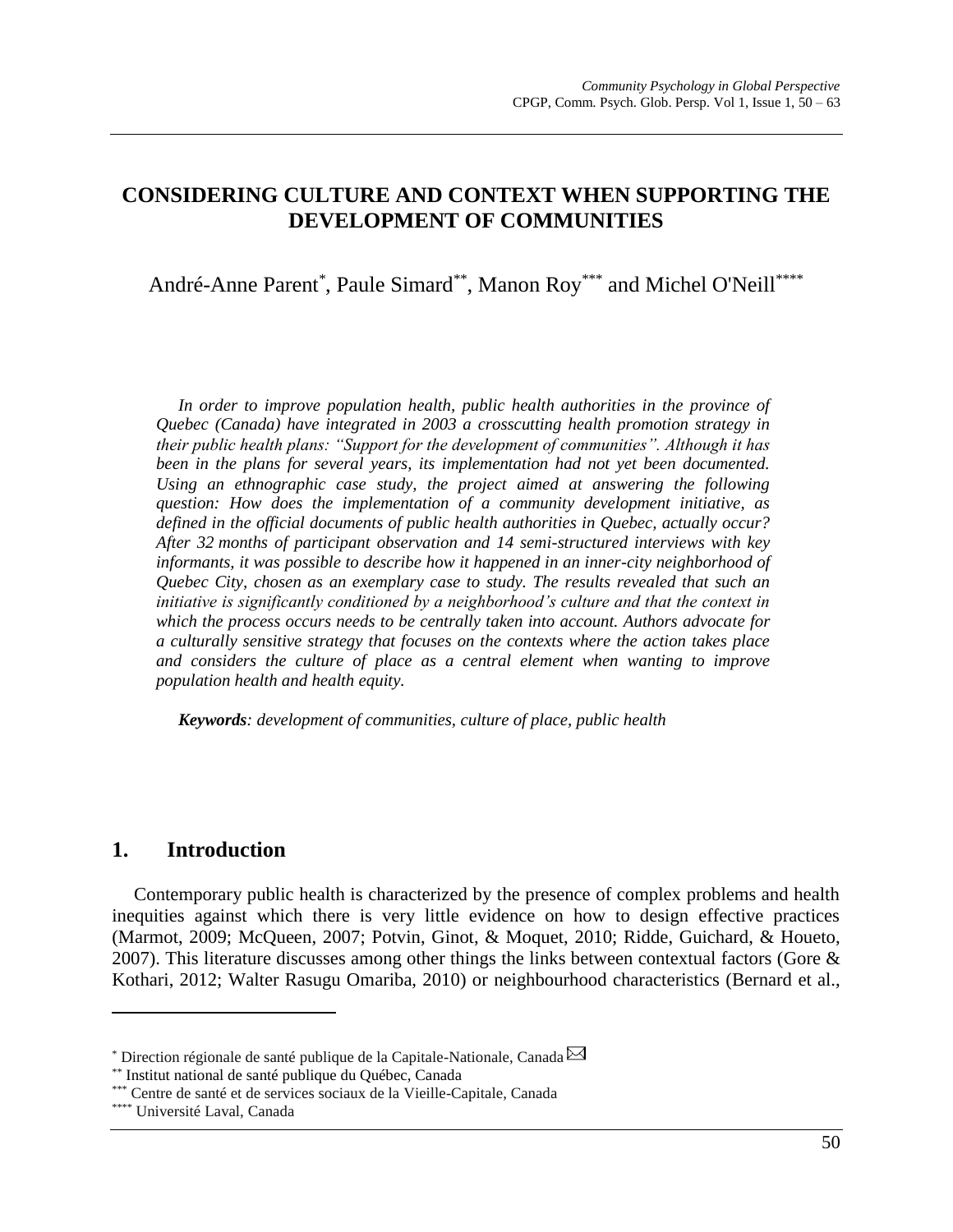# **CONSIDERING CULTURE AND CONTEXT WHEN SUPPORTING THE DEVELOPMENT OF COMMUNITIES**

André-Anne Parent\*, Paule Simard\*\*, Manon Roy\*\*\* and Michel O'Neill\*\*\*\*

In order to improve population health, public health authorities in the province of *Quebec (Canada) have integrated in 2003 a crosscutting health promotion strategy in their public health plans: "Support for the development of communities". Although it has been in the plans for several years, its implementation had not yet been documented. Using an ethnographic case study, the project aimed at answering the following question: How does the implementation of a community development initiative, as defined in the official documents of public health authorities in Quebec, actually occur? After 32 months of participant observation and 14 semi-structured interviews with key informants, it was possible to describe how it happened in an inner-city neighborhood of Quebec City, chosen as an exemplary case to study. The results revealed that such an initiative is significantly conditioned by a neighborhood's culture and that the context in which the process occurs needs to be centrally taken into account. Authors advocate for a culturally sensitive strategy that focuses on the contexts where the action takes place and considers the culture of place as a central element when wanting to improve population health and health equity.* 

*Keywords: development of communities, culture of place, public health*

## **1. Introduction**

Contemporary public health is characterized by the presence of complex problems and health inequities against which there is very little evidence on how to design effective practices [\(Marmot, 2009; McQueen, 2007;](#page-11-0) Potvin, Ginot, [& Moquet, 2010;](#page-12-0) [Ridde, Guichard, & Houeto,](#page-12-1)  [2007\)](#page-12-1). This literature discusses among other things the links between contextual factors (Gore  $\&$ [Kothari, 2012;](#page-11-1) [Walter Rasugu Omariba, 2010\)](#page-13-0) or neighbourhood characteristics [\(Bernard](#page-11-2) et al.,

 $\overline{a}$ 

 $*$  Direction régionale de santé publique de la Capitale-Nationale, Canada  $\boxtimes$ 

<sup>\*\*</sup> Institut national de santé publique du Québec, Canada

<sup>\*\*\*</sup> Centre de santé et de services sociaux de la Vieille-Capitale, Canada

<sup>\*\*\*\*</sup> Université Laval, Canada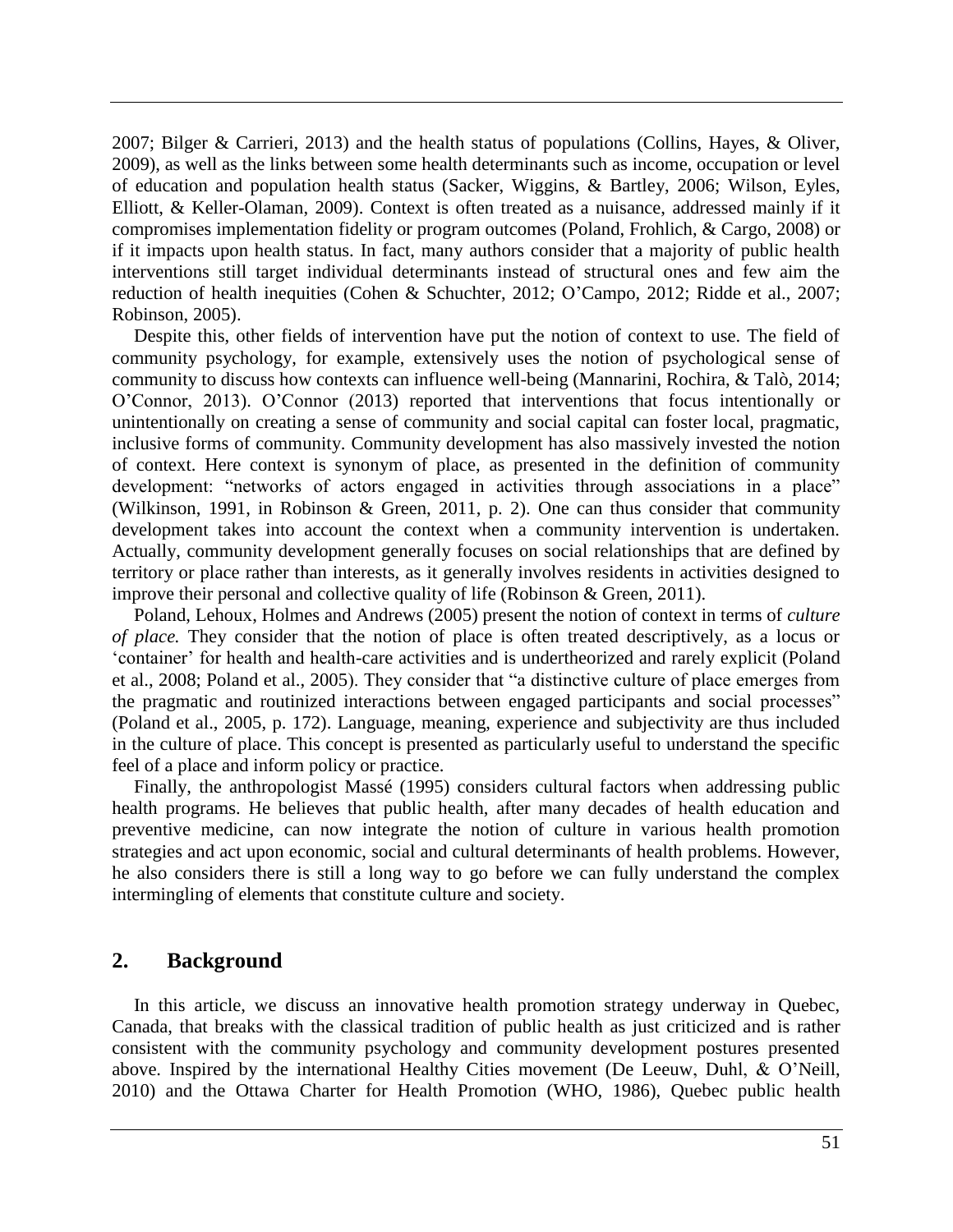[2007;](#page-11-2) [Bilger & Carrieri, 2013\)](#page-11-3) and the health status of populations [\(Collins, Hayes, & Oliver,](#page-11-4)  [2009\)](#page-11-4), as well as the links between some health determinants such as income, occupation or level of education and population health status [\(Sacker, Wiggins, & Bartley, 2006;](#page-12-2) [Wilson, Eyles,](#page-13-1)  [Elliott, & Keller-Olaman, 2009\)](#page-13-1). Context is often treated as a nuisance, addressed mainly if it compromises implementation fidelity or program outcomes [\(Poland, Frohlich, & Cargo,](#page-12-3) 2008) or if it impacts upon health status. In fact, many authors consider that a majority of public health interventions still target individual determinants instead of structural ones and few aim the reduction of health inequities [\(Cohen & Schuchter, 2012;](#page-11-5) [O'Campo, 2012;](#page-12-4) [Ridde et al., 2007;](#page-12-1) [Robinson, 2005\)](#page-12-5).

Despite this, other fields of intervention have put the notion of context to use. The field of community psychology, for example, extensively uses the notion of psychological sense of community to discuss how contexts can influence well-being [\(Mannarini, Rochira, & Talò, 2014;](#page-11-6) [O'Connor, 2013\)](#page-12-6). O'Connor [\(2013\)](#page-12-6) reported that interventions that focus intentionally or unintentionally on creating a sense of community and social capital can foster local, pragmatic, inclusive forms of community. Community development has also massively invested the notion of context. Here context is synonym of place, as presented in the definition of community development: "networks of actors engaged in activities through associations in a place" [\(Wilkinson, 1991, in Robinson & Green, 2011,](#page-12-7) p. 2). One can thus consider that community development takes into account the context when a community intervention is undertaken. Actually, community development generally focuses on social relationships that are defined by territory or place rather than interests, as it generally involves residents in activities designed to improve their personal and collective quality of life [\(Robinson & Green, 2011\)](#page-12-7).

Poland, Lehoux, Holmes and Andrews [\(2005\)](#page-12-8) present the notion of context in terms of *culture of place.* They consider that the notion of place is often treated descriptively, as a locus or 'container' for health and health-care activities and is undertheorized and rarely explicit [\(Poland](#page-12-3)  [et al., 2008;](#page-12-3) [Poland et al., 2005\)](#page-12-8). They consider that "a distinctive culture of place emerges from the pragmatic and routinized interactions between engaged participants and social processes" [\(Poland et al., 2005,](#page-12-8) p. 172). Language, meaning, experience and subjectivity are thus included in the culture of place. This concept is presented as particularly useful to understand the specific feel of a place and inform policy or practice.

Finally, the anthropologist Massé [\(1995\)](#page-11-7) considers cultural factors when addressing public health programs. He believes that public health, after many decades of health education and preventive medicine, can now integrate the notion of culture in various health promotion strategies and act upon economic, social and cultural determinants of health problems. However, he also considers there is still a long way to go before we can fully understand the complex intermingling of elements that constitute culture and society.

## **2. Background**

In this article, we discuss an innovative health promotion strategy underway in Quebec, Canada, that breaks with the classical tradition of public health as just criticized and is rather consistent with the community psychology and community development postures presented above. Inspired by the international Healthy Cities movement [\(De Leeuw, Duhl, & O'Neill,](#page-11-8)  [2010\)](#page-11-8) and the Ottawa Charter for Health Promotion [\(WHO, 1986\)](#page-13-2), Quebec public health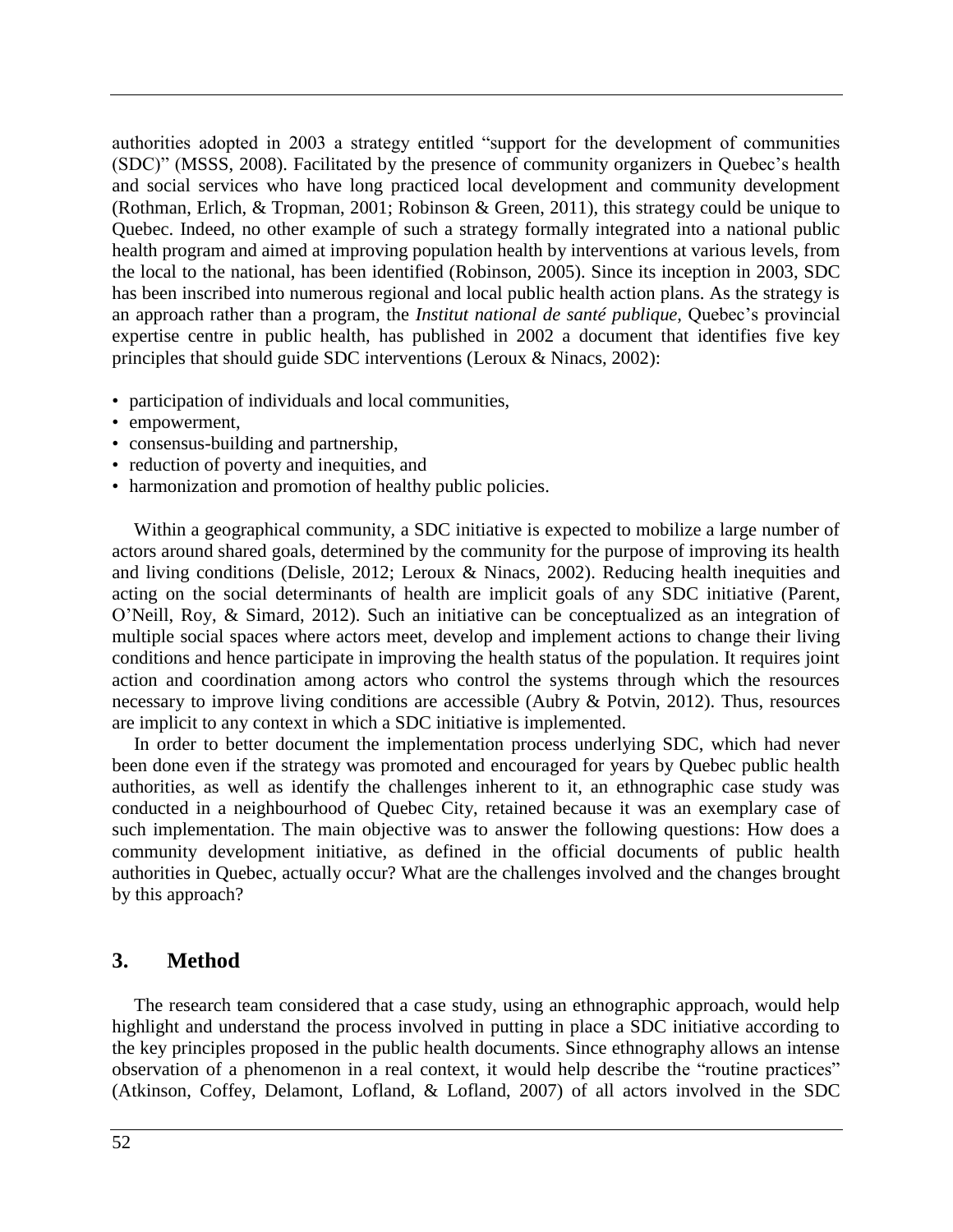authorities adopted in 2003 a strategy entitled "support for the development of communities (SDC)" [\(MSSS, 2008\)](#page-11-9). Facilitated by the presence of community organizers in Quebec's health and social services who have long practiced local development and community development [\(Rothman, Erlich, & Tropman, 2001;](#page-12-9) [Robinson & Green, 2011\)](#page-12-7), this strategy could be unique to Quebec. Indeed, no other example of such a strategy formally integrated into a national public health program and aimed at improving population health by interventions at various levels, from the local to the national, has been identified [\(Robinson, 2005\)](#page-12-5). Since its inception in 2003, SDC has been inscribed into numerous regional and local public health action plans. As the strategy is an approach rather than a program, the *Institut national de santé publique,* Quebec's provincial expertise centre in public health, has published in 2002 a document that identifies five key principles that should guide SDC interventions [\(Leroux & Ninacs, 2002\)](#page-11-10):

- participation of individuals and local communities,
- empowerment,
- consensus-building and partnership,
- reduction of poverty and inequities, and
- harmonization and promotion of healthy public policies.

Within a geographical community, a SDC initiative is expected to mobilize a large number of actors around shared goals, determined by the community for the purpose of improving its health and living conditions [\(Delisle, 2012;](#page-11-11) [Leroux & Ninacs, 2002\)](#page-11-10). Reducing health inequities and acting on the social determinants of health are implicit goals of any SDC initiative [\(Parent,](#page-12-10)  [O'Neill, Roy, & Simard, 2012\)](#page-12-10). Such an initiative can be conceptualized as an integration of multiple social spaces where actors meet, develop and implement actions to change their living conditions and hence participate in improving the health status of the population. It requires joint action and coordination among actors who control the systems through which the resources necessary to improve living conditions are accessible [\(Aubry & Potvin, 2012\)](#page-10-0). Thus, resources are implicit to any context in which a SDC initiative is implemented.

In order to better document the implementation process underlying SDC, which had never been done even if the strategy was promoted and encouraged for years by Quebec public health authorities, as well as identify the challenges inherent to it, an ethnographic case study was conducted in a neighbourhood of Quebec City, retained because it was an exemplary case of such implementation. The main objective was to answer the following questions: How does a community development initiative, as defined in the official documents of public health authorities in Quebec, actually occur? What are the challenges involved and the changes brought by this approach?

## **3. Method**

The research team considered that a case study, using an ethnographic approach, would help highlight and understand the process involved in putting in place a SDC initiative according to the key principles proposed in the public health documents. Since ethnography allows an intense observation of a phenomenon in a real context, it would help describe the "routine practices" [\(Atkinson, Coffey, Delamont, Lofland, & Lofland, 2007\)](#page-10-1) of all actors involved in the SDC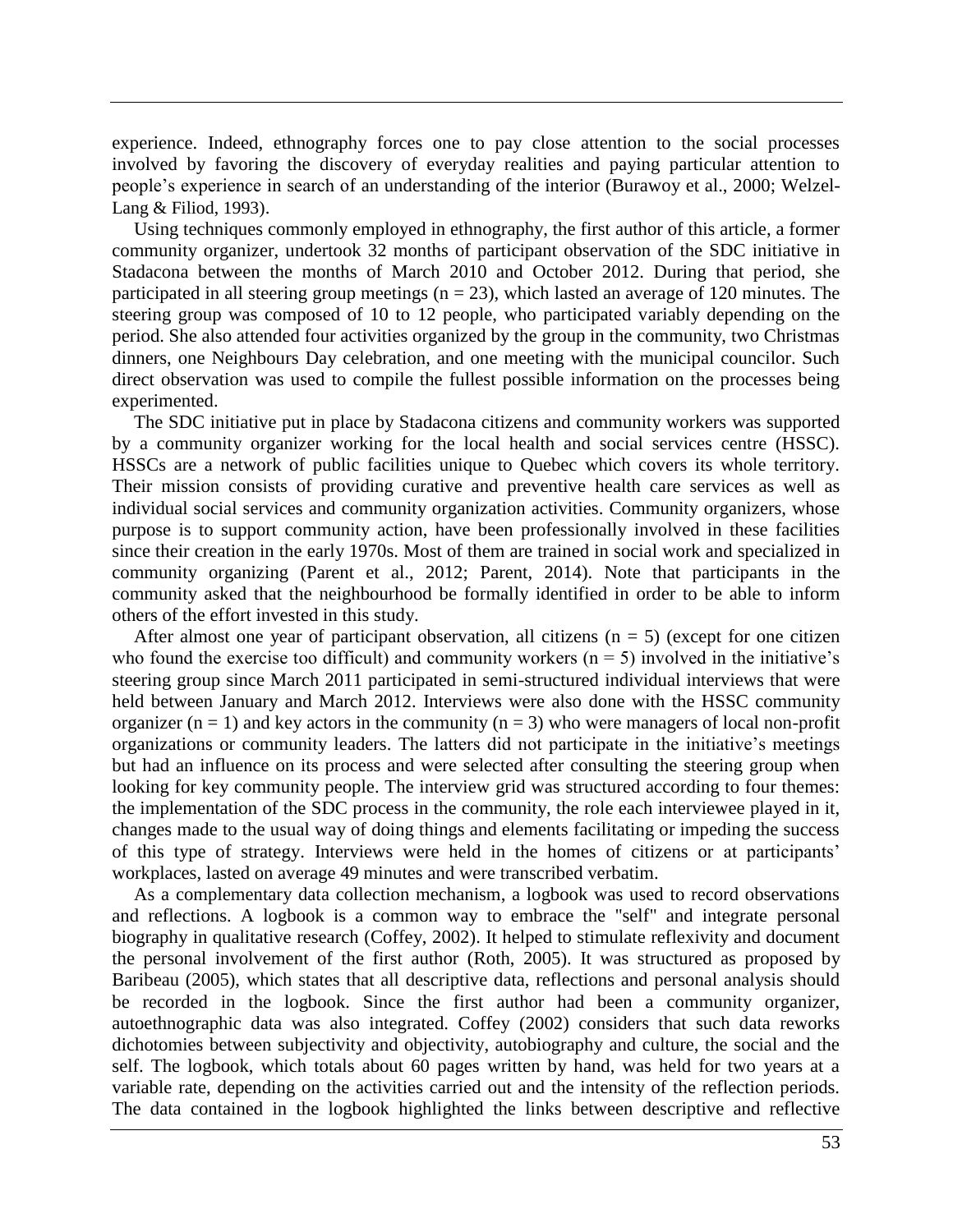experience. Indeed, ethnography forces one to pay close attention to the social processes involved by favoring the discovery of everyday realities and paying particular attention to people's experience in search of an understanding of the interior (Burawoy et al., [2000;](#page-11-12) [Welzel-](#page-13-0)[Lang & Filiod, 1993\)](#page-13-0).

Using techniques commonly employed in ethnography, the first author of this article, a former community organizer, undertook 32 months of participant observation of the SDC initiative in Stadacona between the months of March 2010 and October 2012. During that period, she participated in all steering group meetings ( $n = 23$ ), which lasted an average of 120 minutes. The steering group was composed of 10 to 12 people, who participated variably depending on the period. She also attended four activities organized by the group in the community, two Christmas dinners, one Neighbours Day celebration, and one meeting with the municipal councilor. Such direct observation was used to compile the fullest possible information on the processes being experimented.

The SDC initiative put in place by Stadacona citizens and community workers was supported by a community organizer working for the local health and social services centre (HSSC). HSSCs are a network of public facilities unique to Quebec which covers its whole territory. Their mission consists of providing curative and preventive health care services as well as individual social services and community organization activities. Community organizers, whose purpose is to support community action, have been professionally involved in these facilities since their creation in the early 1970s. Most of them are trained in social work and specialized in community organizing [\(Parent et al., 2012;](#page-12-10) [Parent, 2014\)](#page-12-11). Note that participants in the community asked that the neighbourhood be formally identified in order to be able to inform others of the effort invested in this study.

After almost one year of participant observation, all citizens  $(n = 5)$  (except for one citizen who found the exercise too difficult) and community workers  $(n = 5)$  involved in the initiative's steering group since March 2011 participated in semi-structured individual interviews that were held between January and March 2012. Interviews were also done with the HSSC community organizer  $(n = 1)$  and key actors in the community  $(n = 3)$  who were managers of local non-profit organizations or community leaders. The latters did not participate in the initiative's meetings but had an influence on its process and were selected after consulting the steering group when looking for key community people. The interview grid was structured according to four themes: the implementation of the SDC process in the community, the role each interviewee played in it, changes made to the usual way of doing things and elements facilitating or impeding the success of this type of strategy. Interviews were held in the homes of citizens or at participants' workplaces, lasted on average 49 minutes and were transcribed verbatim.

As a complementary data collection mechanism, a logbook was used to record observations and reflections. A logbook is a common way to embrace the "self" and integrate personal biography in qualitative research [\(Coffey, 2002\)](#page-11-13). It helped to stimulate reflexivity and document the personal involvement of the first author [\(Roth, 2005\)](#page-12-12). It was structured as proposed by Baribeau [\(2005\)](#page-10-2), which states that all descriptive data, reflections and personal analysis should be recorded in the logbook. Since the first author had been a community organizer, autoethnographic data was also integrated. Coffey [\(2002\)](#page-11-13) considers that such data reworks dichotomies between subjectivity and objectivity, autobiography and culture, the social and the self. The logbook, which totals about 60 pages written by hand, was held for two years at a variable rate, depending on the activities carried out and the intensity of the reflection periods. The data contained in the logbook highlighted the links between descriptive and reflective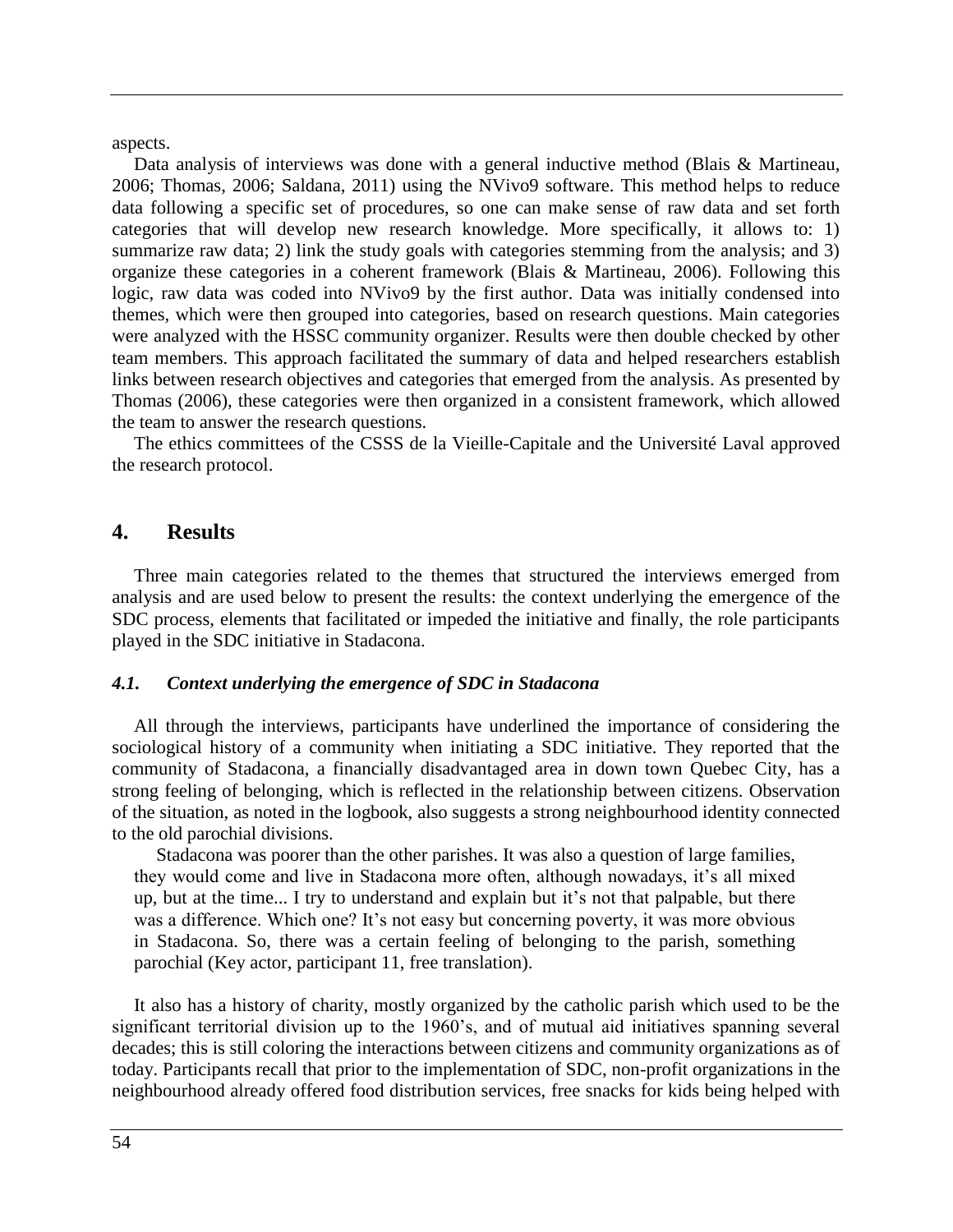aspects.

Data analysis of interviews was done with a general inductive method (Blais & Martineau, [2006;](#page-11-14) [Thomas, 2006;](#page-12-13) [Saldana, 2011\)](#page-12-14) using the NVivo9 software. This method helps to reduce data following a specific set of procedures, so one can make sense of raw data and set forth categories that will develop new research knowledge. More specifically, it allows to: 1) summarize raw data; 2) link the study goals with categories stemming from the analysis; and 3) organize these categories in a coherent framework [\(Blais & Martineau, 2006\)](#page-11-14). Following this logic, raw data was coded into NVivo9 by the first author. Data was initially condensed into themes, which were then grouped into categories, based on research questions. Main categories were analyzed with the HSSC community organizer. Results were then double checked by other team members. This approach facilitated the summary of data and helped researchers establish links between research objectives and categories that emerged from the analysis. As presented by Thomas [\(2006\)](#page-12-13), these categories were then organized in a consistent framework, which allowed the team to answer the research questions.

The ethics committees of the CSSS de la Vieille-Capitale and the Université Laval approved the research protocol.

## **4. Results**

Three main categories related to the themes that structured the interviews emerged from analysis and are used below to present the results: the context underlying the emergence of the SDC process, elements that facilitated or impeded the initiative and finally, the role participants played in the SDC initiative in Stadacona.

#### *4.1. Context underlying the emergence of SDC in Stadacona*

All through the interviews, participants have underlined the importance of considering the sociological history of a community when initiating a SDC initiative. They reported that the community of Stadacona, a financially disadvantaged area in down town Quebec City, has a strong feeling of belonging, which is reflected in the relationship between citizens. Observation of the situation, as noted in the logbook, also suggests a strong neighbourhood identity connected to the old parochial divisions.

Stadacona was poorer than the other parishes. It was also a question of large families, they would come and live in Stadacona more often, although nowadays, it's all mixed up, but at the time... I try to understand and explain but it's not that palpable, but there was a difference. Which one? It's not easy but concerning poverty, it was more obvious in Stadacona. So, there was a certain feeling of belonging to the parish, something parochial (Key actor, participant 11, free translation).

It also has a history of charity, mostly organized by the catholic parish which used to be the significant territorial division up to the 1960's, and of mutual aid initiatives spanning several decades; this is still coloring the interactions between citizens and community organizations as of today. Participants recall that prior to the implementation of SDC, non-profit organizations in the neighbourhood already offered food distribution services, free snacks for kids being helped with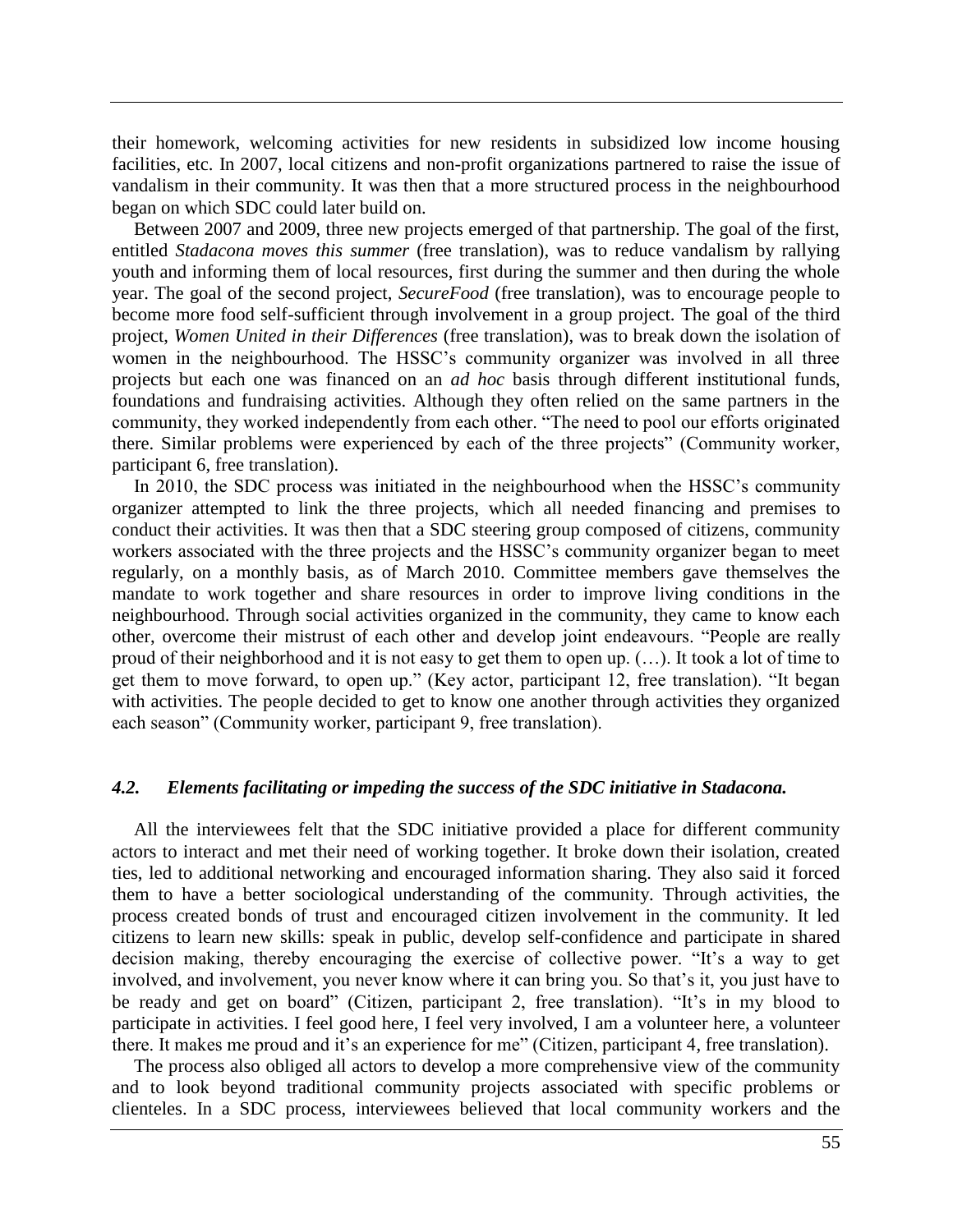their homework, welcoming activities for new residents in subsidized low income housing facilities, etc. In 2007, local citizens and non-profit organizations partnered to raise the issue of vandalism in their community. It was then that a more structured process in the neighbourhood began on which SDC could later build on.

Between 2007 and 2009, three new projects emerged of that partnership. The goal of the first, entitled *Stadacona moves this summer* (free translation), was to reduce vandalism by rallying youth and informing them of local resources, first during the summer and then during the whole year. The goal of the second project, *SecureFood* (free translation), was to encourage people to become more food self-sufficient through involvement in a group project. The goal of the third project, *Women United in their Differences* (free translation), was to break down the isolation of women in the neighbourhood. The HSSC's community organizer was involved in all three projects but each one was financed on an *ad hoc* basis through different institutional funds, foundations and fundraising activities. Although they often relied on the same partners in the community, they worked independently from each other. "The need to pool our efforts originated there. Similar problems were experienced by each of the three projects" (Community worker, participant 6, free translation).

In 2010, the SDC process was initiated in the neighbourhood when the HSSC's community organizer attempted to link the three projects, which all needed financing and premises to conduct their activities. It was then that a SDC steering group composed of citizens, community workers associated with the three projects and the HSSC's community organizer began to meet regularly, on a monthly basis, as of March 2010. Committee members gave themselves the mandate to work together and share resources in order to improve living conditions in the neighbourhood. Through social activities organized in the community, they came to know each other, overcome their mistrust of each other and develop joint endeavours. "People are really proud of their neighborhood and it is not easy to get them to open up. (…). It took a lot of time to get them to move forward, to open up." (Key actor, participant 12, free translation). "It began with activities. The people decided to get to know one another through activities they organized each season" (Community worker, participant 9, free translation).

### *4.2. Elements facilitating or impeding the success of the SDC initiative in Stadacona.*

All the interviewees felt that the SDC initiative provided a place for different community actors to interact and met their need of working together. It broke down their isolation, created ties, led to additional networking and encouraged information sharing. They also said it forced them to have a better sociological understanding of the community. Through activities, the process created bonds of trust and encouraged citizen involvement in the community. It led citizens to learn new skills: speak in public, develop self-confidence and participate in shared decision making, thereby encouraging the exercise of collective power. "It's a way to get involved, and involvement, you never know where it can bring you. So that's it, you just have to be ready and get on board" (Citizen, participant 2, free translation). "It's in my blood to participate in activities. I feel good here, I feel very involved, I am a volunteer here, a volunteer there. It makes me proud and it's an experience for me" (Citizen, participant 4, free translation).

The process also obliged all actors to develop a more comprehensive view of the community and to look beyond traditional community projects associated with specific problems or clienteles. In a SDC process, interviewees believed that local community workers and the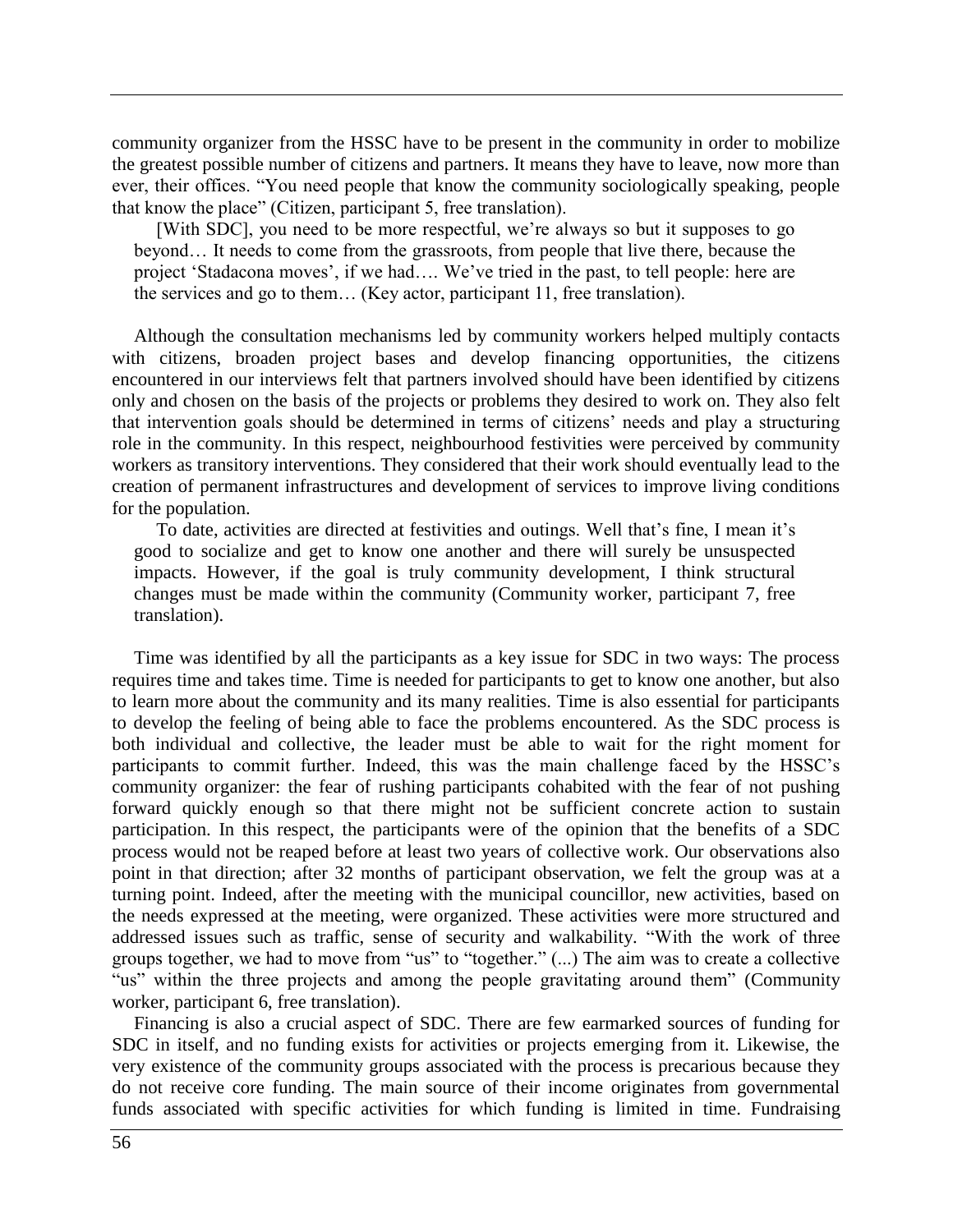community organizer from the HSSC have to be present in the community in order to mobilize the greatest possible number of citizens and partners. It means they have to leave, now more than ever, their offices. "You need people that know the community sociologically speaking, people that know the place" (Citizen, participant 5, free translation).

[With SDC], you need to be more respectful, we're always so but it supposes to go beyond… It needs to come from the grassroots, from people that live there, because the project 'Stadacona moves', if we had…. We've tried in the past, to tell people: here are the services and go to them… (Key actor, participant 11, free translation).

Although the consultation mechanisms led by community workers helped multiply contacts with citizens, broaden project bases and develop financing opportunities, the citizens encountered in our interviews felt that partners involved should have been identified by citizens only and chosen on the basis of the projects or problems they desired to work on. They also felt that intervention goals should be determined in terms of citizens' needs and play a structuring role in the community. In this respect, neighbourhood festivities were perceived by community workers as transitory interventions. They considered that their work should eventually lead to the creation of permanent infrastructures and development of services to improve living conditions for the population.

To date, activities are directed at festivities and outings. Well that's fine, I mean it's good to socialize and get to know one another and there will surely be unsuspected impacts. However, if the goal is truly community development, I think structural changes must be made within the community (Community worker, participant 7, free translation).

Time was identified by all the participants as a key issue for SDC in two ways: The process requires time and takes time. Time is needed for participants to get to know one another, but also to learn more about the community and its many realities. Time is also essential for participants to develop the feeling of being able to face the problems encountered. As the SDC process is both individual and collective, the leader must be able to wait for the right moment for participants to commit further. Indeed, this was the main challenge faced by the HSSC's community organizer: the fear of rushing participants cohabited with the fear of not pushing forward quickly enough so that there might not be sufficient concrete action to sustain participation. In this respect, the participants were of the opinion that the benefits of a SDC process would not be reaped before at least two years of collective work. Our observations also point in that direction; after 32 months of participant observation, we felt the group was at a turning point. Indeed, after the meeting with the municipal councillor, new activities, based on the needs expressed at the meeting, were organized. These activities were more structured and addressed issues such as traffic, sense of security and walkability. "With the work of three groups together, we had to move from "us" to "together." (...) The aim was to create a collective "us" within the three projects and among the people gravitating around them" (Community worker, participant 6, free translation).

Financing is also a crucial aspect of SDC. There are few earmarked sources of funding for SDC in itself, and no funding exists for activities or projects emerging from it. Likewise, the very existence of the community groups associated with the process is precarious because they do not receive core funding. The main source of their income originates from governmental funds associated with specific activities for which funding is limited in time. Fundraising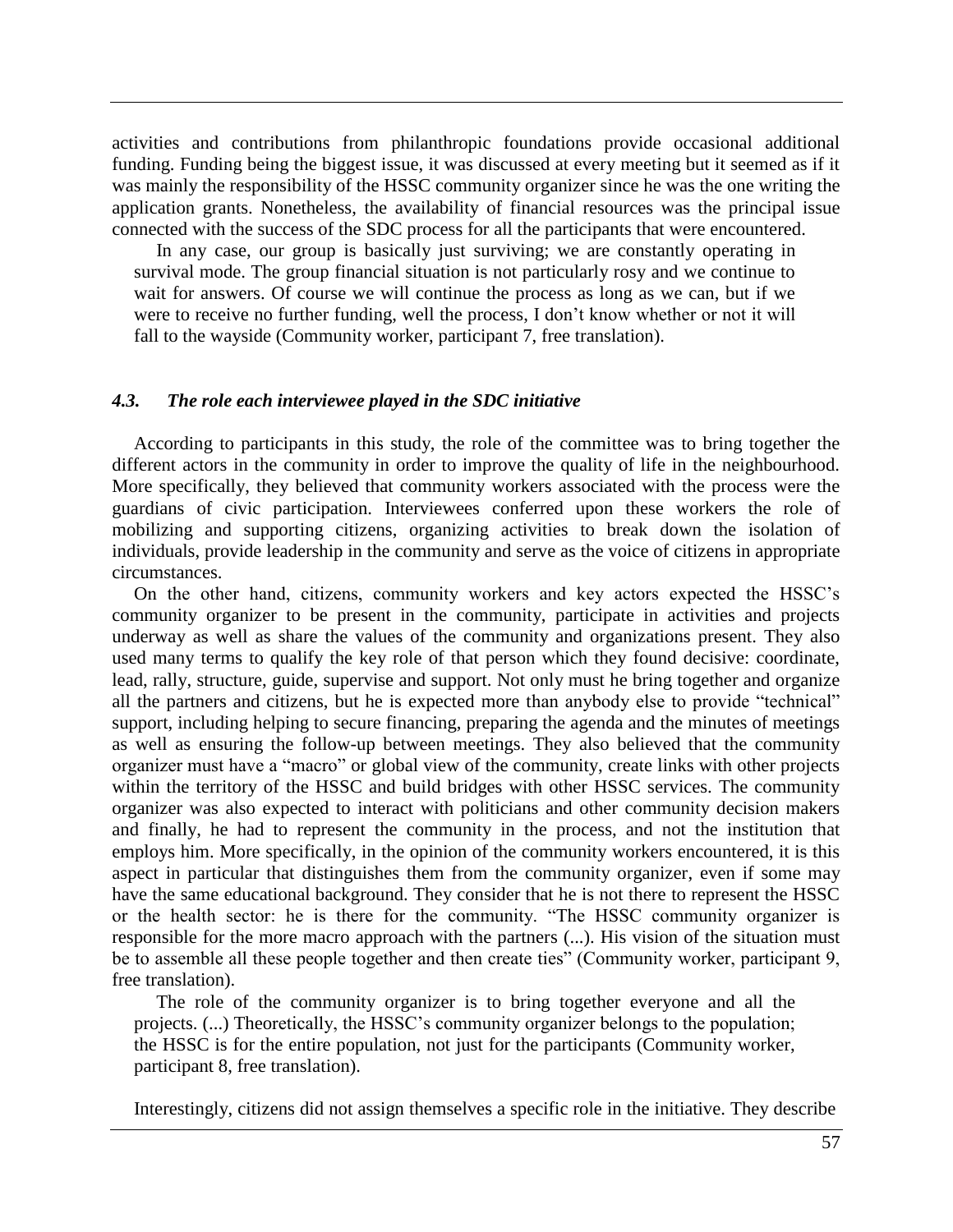activities and contributions from philanthropic foundations provide occasional additional funding. Funding being the biggest issue, it was discussed at every meeting but it seemed as if it was mainly the responsibility of the HSSC community organizer since he was the one writing the application grants. Nonetheless, the availability of financial resources was the principal issue connected with the success of the SDC process for all the participants that were encountered.

In any case, our group is basically just surviving; we are constantly operating in survival mode. The group financial situation is not particularly rosy and we continue to wait for answers. Of course we will continue the process as long as we can, but if we were to receive no further funding, well the process, I don't know whether or not it will fall to the wayside (Community worker, participant 7, free translation).

#### *4.3. The role each interviewee played in the SDC initiative*

According to participants in this study, the role of the committee was to bring together the different actors in the community in order to improve the quality of life in the neighbourhood. More specifically, they believed that community workers associated with the process were the guardians of civic participation. Interviewees conferred upon these workers the role of mobilizing and supporting citizens, organizing activities to break down the isolation of individuals, provide leadership in the community and serve as the voice of citizens in appropriate circumstances.

On the other hand, citizens, community workers and key actors expected the HSSC's community organizer to be present in the community, participate in activities and projects underway as well as share the values of the community and organizations present. They also used many terms to qualify the key role of that person which they found decisive: coordinate, lead, rally, structure, guide, supervise and support. Not only must he bring together and organize all the partners and citizens, but he is expected more than anybody else to provide "technical" support, including helping to secure financing, preparing the agenda and the minutes of meetings as well as ensuring the follow-up between meetings. They also believed that the community organizer must have a "macro" or global view of the community, create links with other projects within the territory of the HSSC and build bridges with other HSSC services. The community organizer was also expected to interact with politicians and other community decision makers and finally, he had to represent the community in the process, and not the institution that employs him. More specifically, in the opinion of the community workers encountered, it is this aspect in particular that distinguishes them from the community organizer, even if some may have the same educational background. They consider that he is not there to represent the HSSC or the health sector: he is there for the community. "The HSSC community organizer is responsible for the more macro approach with the partners (...). His vision of the situation must be to assemble all these people together and then create ties" (Community worker, participant 9, free translation).

The role of the community organizer is to bring together everyone and all the projects. (...) Theoretically, the HSSC's community organizer belongs to the population; the HSSC is for the entire population, not just for the participants (Community worker, participant 8, free translation).

Interestingly, citizens did not assign themselves a specific role in the initiative. They describe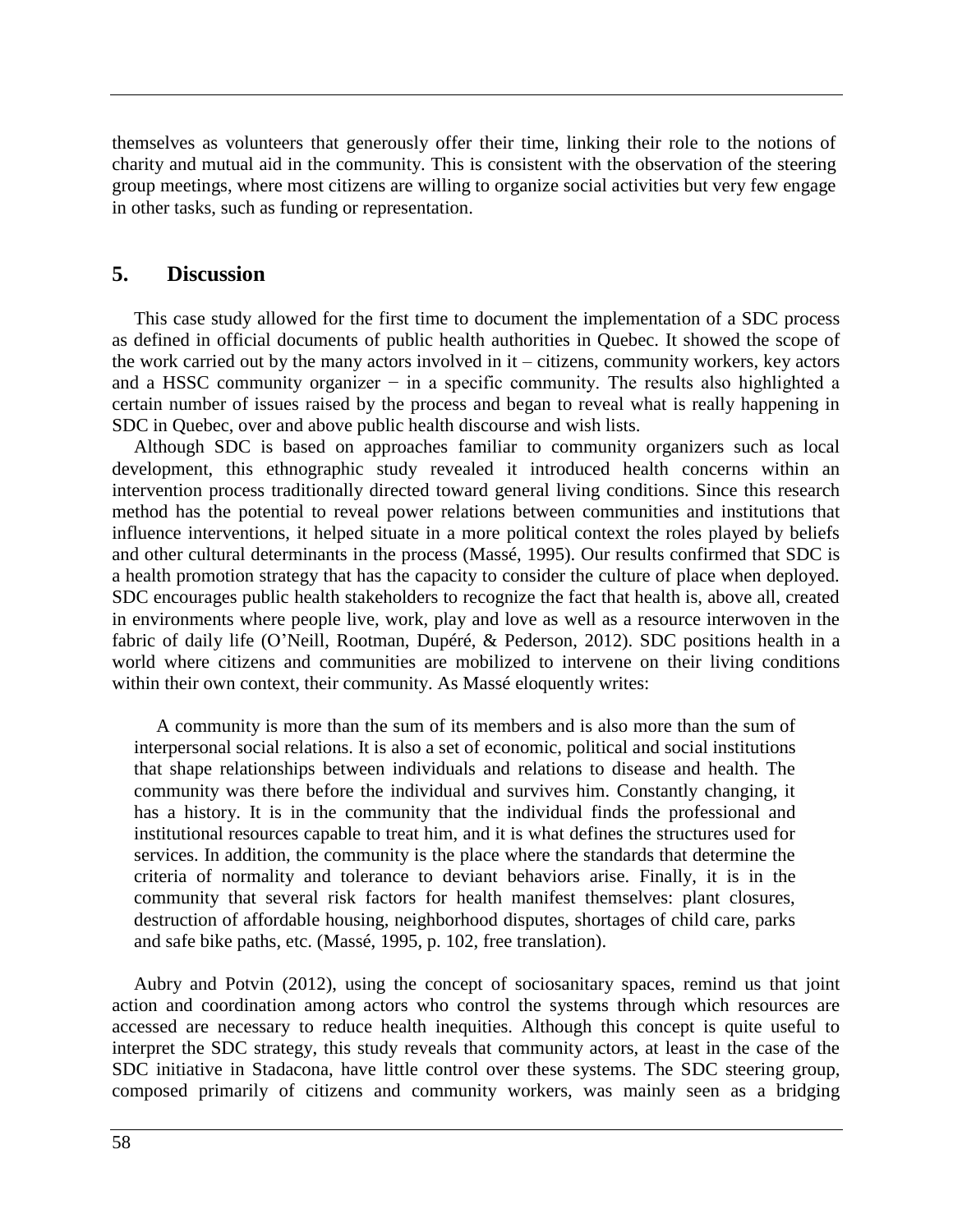themselves as volunteers that generously offer their time, linking their role to the notions of charity and mutual aid in the community. This is consistent with the observation of the steering group meetings, where most citizens are willing to organize social activities but very few engage in other tasks, such as funding or representation.

### **5. Discussion**

This case study allowed for the first time to document the implementation of a SDC process as defined in official documents of public health authorities in Quebec. It showed the scope of the work carried out by the many actors involved in it – citizens, community workers, key actors and a HSSC community organizer − in a specific community. The results also highlighted a certain number of issues raised by the process and began to reveal what is really happening in SDC in Quebec, over and above public health discourse and wish lists.

Although SDC is based on approaches familiar to community organizers such as local development, this ethnographic study revealed it introduced health concerns within an intervention process traditionally directed toward general living conditions. Since this research method has the potential to reveal power relations between communities and institutions that influence interventions, it helped situate in a more political context the roles played by beliefs and other cultural determinants in the process [\(Massé, 1995\)](#page-11-7). Our results confirmed that SDC is a health promotion strategy that has the capacity to consider the culture of place when deployed. SDC encourages public health stakeholders to recognize the fact that health is, above all, created in environments where people live, work, play and love as well as a resource interwoven in the fabric of daily life [\(O'Neill, Rootman, Dupéré, & Pederson,](#page-12-15) 2012). SDC positions health in a world where citizens and communities are mobilized to intervene on their living conditions within their own context, their community. As Massé eloquently writes:

A community is more than the sum of its members and is also more than the sum of interpersonal social relations. It is also a set of economic, political and social institutions that shape relationships between individuals and relations to disease and health. The community was there before the individual and survives him. Constantly changing, it has a history. It is in the community that the individual finds the professional and institutional resources capable to treat him, and it is what defines the structures used for services. In addition, the community is the place where the standards that determine the criteria of normality and tolerance to deviant behaviors arise. Finally, it is in the community that several risk factors for health manifest themselves: plant closures, destruction of affordable housing, neighborhood disputes, shortages of child care, parks and safe bike paths, etc. [\(Massé, 1995,](#page-11-7) p. 102, free translation).

Aubry and Potvin [\(2012\)](#page-10-0), using the concept of sociosanitary spaces, remind us that joint action and coordination among actors who control the systems through which resources are accessed are necessary to reduce health inequities. Although this concept is quite useful to interpret the SDC strategy, this study reveals that community actors, at least in the case of the SDC initiative in Stadacona, have little control over these systems. The SDC steering group, composed primarily of citizens and community workers, was mainly seen as a bridging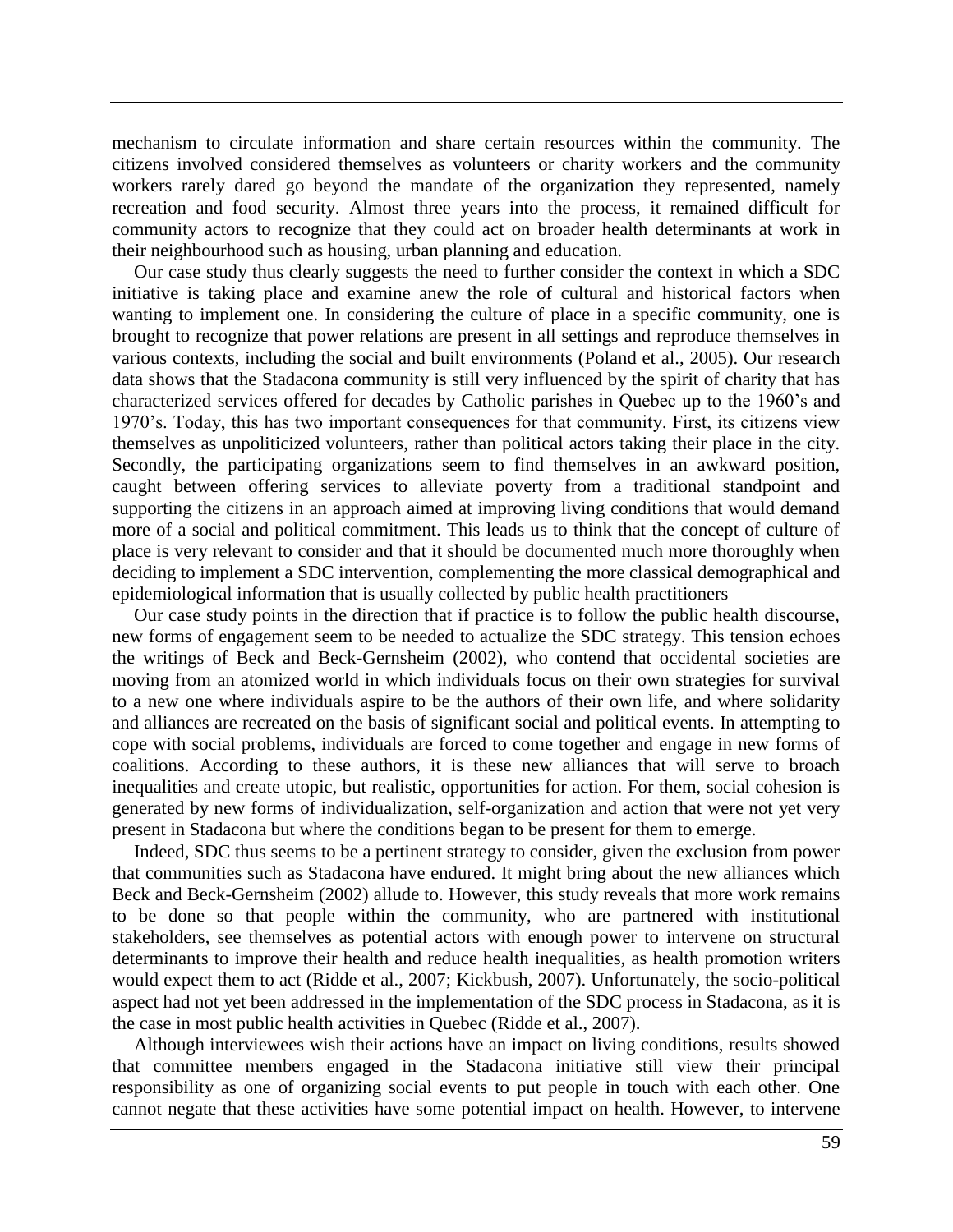mechanism to circulate information and share certain resources within the community. The citizens involved considered themselves as volunteers or charity workers and the community workers rarely dared go beyond the mandate of the organization they represented, namely recreation and food security. Almost three years into the process, it remained difficult for community actors to recognize that they could act on broader health determinants at work in their neighbourhood such as housing, urban planning and education.

Our case study thus clearly suggests the need to further consider the context in which a SDC initiative is taking place and examine anew the role of cultural and historical factors when wanting to implement one. In considering the culture of place in a specific community, one is brought to recognize that power relations are present in all settings and reproduce themselves in various contexts, including the social and built environments [\(Poland et al., 2005\)](#page-12-8). Our research data shows that the Stadacona community is still very influenced by the spirit of charity that has characterized services offered for decades by Catholic parishes in Quebec up to the 1960's and 1970's. Today, this has two important consequences for that community. First, its citizens view themselves as unpoliticized volunteers, rather than political actors taking their place in the city. Secondly, the participating organizations seem to find themselves in an awkward position, caught between offering services to alleviate poverty from a traditional standpoint and supporting the citizens in an approach aimed at improving living conditions that would demand more of a social and political commitment. This leads us to think that the concept of culture of place is very relevant to consider and that it should be documented much more thoroughly when deciding to implement a SDC intervention, complementing the more classical demographical and epidemiological information that is usually collected by public health practitioners

Our case study points in the direction that if practice is to follow the public health discourse, new forms of engagement seem to be needed to actualize the SDC strategy. This tension echoes the writings of Beck and Beck-Gernsheim [\(2002\)](#page-10-3), who contend that occidental societies are moving from an atomized world in which individuals focus on their own strategies for survival to a new one where individuals aspire to be the authors of their own life, and where solidarity and alliances are recreated on the basis of significant social and political events. In attempting to cope with social problems, individuals are forced to come together and engage in new forms of coalitions. According to these authors, it is these new alliances that will serve to broach inequalities and create utopic, but realistic, opportunities for action. For them, social cohesion is generated by new forms of individualization, self-organization and action that were not yet very present in Stadacona but where the conditions began to be present for them to emerge.

Indeed, SDC thus seems to be a pertinent strategy to consider, given the exclusion from power that communities such as Stadacona have endured. It might bring about the new alliances which Beck and Beck-Gernsheim [\(2002\)](#page-10-3) allude to. However, this study reveals that more work remains to be done so that people within the community, who are partnered with institutional stakeholders, see themselves as potential actors with enough power to intervene on structural determinants to improve their health and reduce health inequalities, as health promotion writers would expect them to act [\(Ridde et al., 2007;](#page-12-1) [Kickbush, 2007\)](#page-11-15). Unfortunately, the socio-political aspect had not yet been addressed in the implementation of the SDC process in Stadacona, as it is the case in most public health activities in Quebec [\(Ridde et al., 2007\)](#page-12-1).

Although interviewees wish their actions have an impact on living conditions, results showed that committee members engaged in the Stadacona initiative still view their principal responsibility as one of organizing social events to put people in touch with each other. One cannot negate that these activities have some potential impact on health. However, to intervene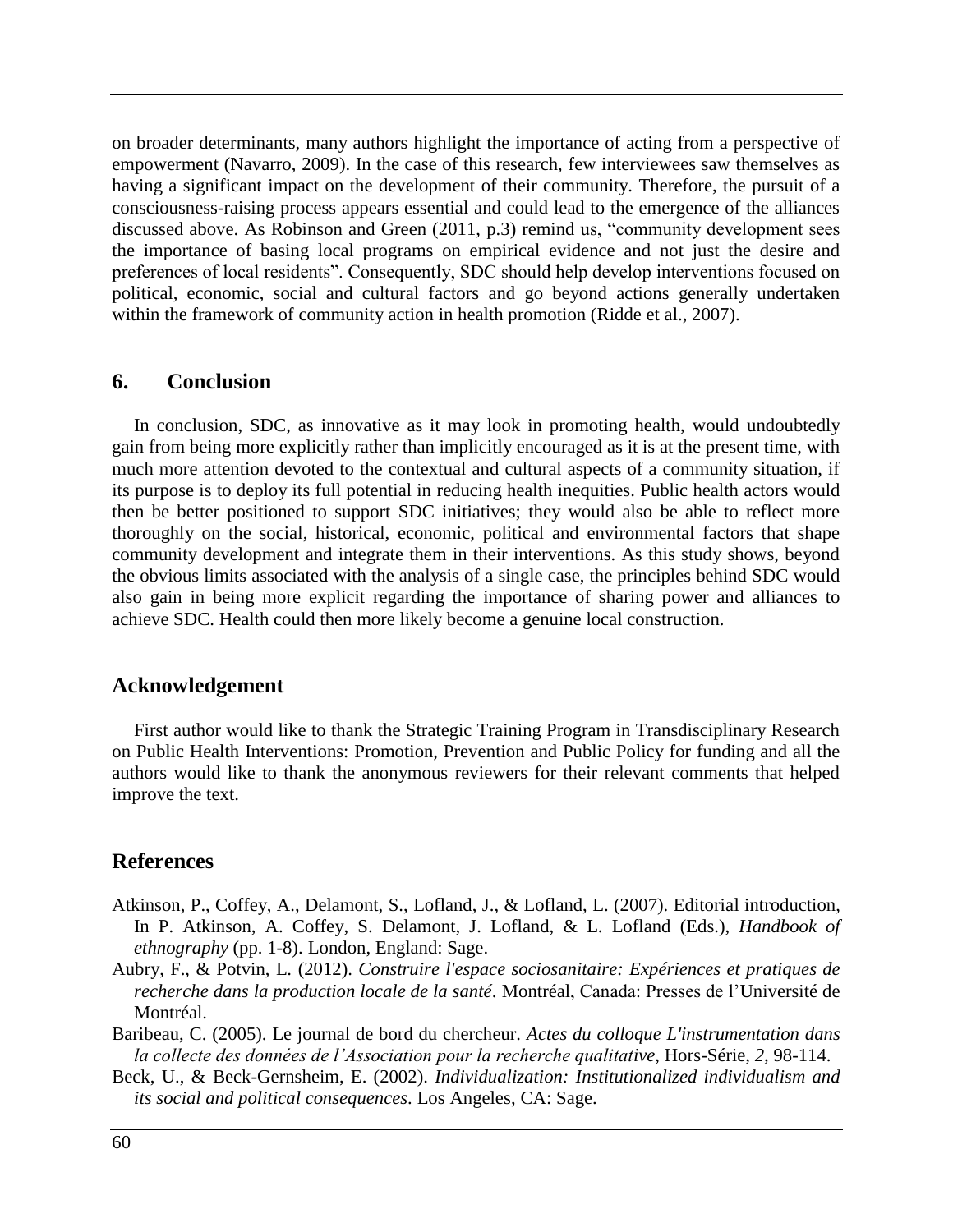on broader determinants, many authors highlight the importance of acting from a perspective of empowerment [\(Navarro, 2009\)](#page-11-16). In the case of this research, few interviewees saw themselves as having a significant impact on the development of their community. Therefore, the pursuit of a consciousness-raising process appears essential and could lead to the emergence of the alliances discussed above. As Robinson and Green [\(2011,](#page-12-7) p.3) remind us, "community development sees the importance of basing local programs on empirical evidence and not just the desire and preferences of local residents". Consequently, SDC should help develop interventions focused on political, economic, social and cultural factors and go beyond actions generally undertaken within the framework of community action in health promotion [\(Ridde et al., 2007\)](#page-12-1).

### **6. Conclusion**

In conclusion, SDC, as innovative as it may look in promoting health, would undoubtedly gain from being more explicitly rather than implicitly encouraged as it is at the present time, with much more attention devoted to the contextual and cultural aspects of a community situation, if its purpose is to deploy its full potential in reducing health inequities. Public health actors would then be better positioned to support SDC initiatives; they would also be able to reflect more thoroughly on the social, historical, economic, political and environmental factors that shape community development and integrate them in their interventions. As this study shows, beyond the obvious limits associated with the analysis of a single case, the principles behind SDC would also gain in being more explicit regarding the importance of sharing power and alliances to achieve SDC. Health could then more likely become a genuine local construction.

## **Acknowledgement**

First author would like to thank the Strategic Training Program in Transdisciplinary Research on Public Health Interventions: Promotion, Prevention and Public Policy for funding and all the authors would like to thank the anonymous reviewers for their relevant comments that helped improve the text.

## **References**

- <span id="page-10-1"></span>Atkinson, P., Coffey, A., Delamont, S., Lofland, J., & Lofland, L. (2007). Editorial introduction, In P. Atkinson, A. Coffey, S. Delamont, J. Lofland, & L. Lofland (Eds.), *Handbook of ethnography* (pp. 1-8). London, England: Sage.
- <span id="page-10-0"></span>Aubry, F., & Potvin, L. (2012). *Construire l'espace sociosanitaire: Expériences et pratiques de recherche dans la production locale de la santé*. Montréal, Canada: Presses de l'Université de Montréal.
- <span id="page-10-2"></span>Baribeau, C. (2005). Le journal de bord du chercheur. *Actes du colloque L'instrumentation dans la collecte des données de l'Association pour la recherche qualitative*, Hors-Série, *2*, 98-114.
- <span id="page-10-3"></span>Beck, U., & Beck-Gernsheim, E. (2002). *Individualization: Institutionalized individualism and its social and political consequences*. Los Angeles, CA: Sage.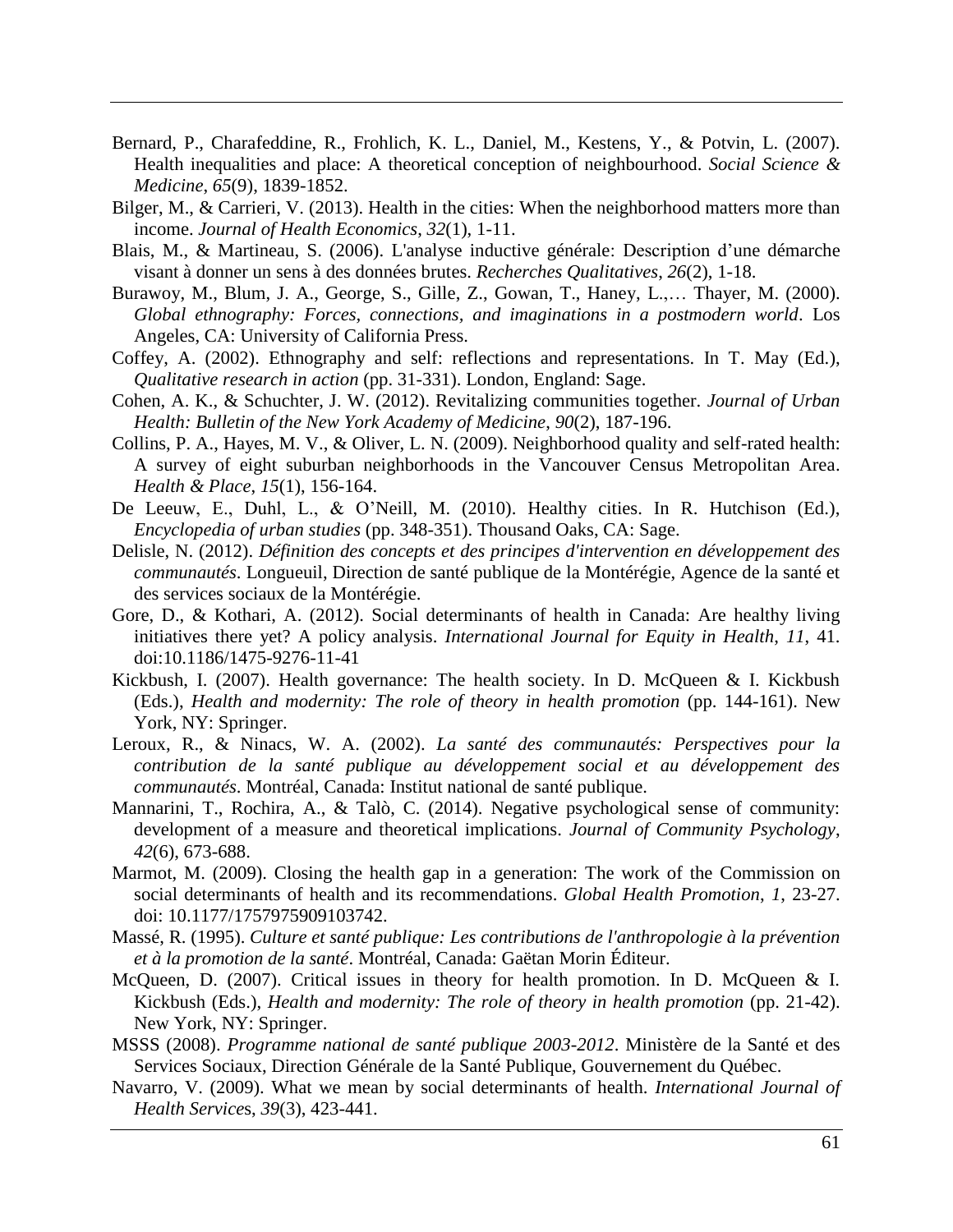- <span id="page-11-2"></span>Bernard, P., Charafeddine, R., Frohlich, K. L., Daniel, M., Kestens, Y., & Potvin, L. (2007). Health inequalities and place: A theoretical conception of neighbourhood. *Social Science & Medicine*, *65*(9), 1839-1852.
- <span id="page-11-3"></span>Bilger, M., & Carrieri, V. (2013). Health in the cities: When the neighborhood matters more than income. *Journal of Health Economics*, *32*(1), 1-11.
- <span id="page-11-14"></span>Blais, M., & Martineau, S. (2006). L'analyse inductive générale: Description d'une démarche visant à donner un sens à des données brutes. *Recherches Qualitatives*, *26*(2), 1-18.
- <span id="page-11-12"></span>Burawoy, M., Blum, J. A., George, S., Gille, Z., Gowan, T., Haney, L.,… Thayer, M. (2000). *Global ethnography: Forces, connections, and imaginations in a postmodern world*. Los Angeles, CA: University of California Press.
- <span id="page-11-13"></span>Coffey, A. (2002). Ethnography and self: reflections and representations. In T. May (Ed.), *Qualitative research in action* (pp. 31-331). London, England: Sage.
- <span id="page-11-5"></span>Cohen, A. K., & Schuchter, J. W. (2012). Revitalizing communities together. *Journal of Urban Health: Bulletin of the New York Academy of Medicine*, *90*(2), 187-196.
- <span id="page-11-4"></span>Collins, P. A., Hayes, M. V., & Oliver, L. N. (2009). Neighborhood quality and self-rated health: A survey of eight suburban neighborhoods in the Vancouver Census Metropolitan Area. *Health & Place*, *15*(1), 156-164.
- <span id="page-11-8"></span>De Leeuw, E., Duhl, L., & O'Neill, M. (2010). Healthy cities. In R. Hutchison (Ed.), *Encyclopedia of urban studies* (pp. 348-351). Thousand Oaks, CA: Sage.
- <span id="page-11-11"></span>Delisle, N. (2012). *Définition des concepts et des principes d'intervention en développement des communautés*. Longueuil, Direction de santé publique de la Montérégie, Agence de la santé et des services sociaux de la Montérégie.
- <span id="page-11-1"></span>Gore, D., & Kothari, A. (2012). Social determinants of health in Canada: Are healthy living initiatives there yet? A policy analysis. *International Journal for Equity in Health*, *11*, 41. doi:10.1186/1475-9276-11-41
- <span id="page-11-15"></span>Kickbush, I. (2007). Health governance: The health society. In D. McQueen & I. Kickbush (Eds.), *Health and modernity: The role of theory in health promotion* (pp. 144-161). New York, NY: Springer.
- <span id="page-11-10"></span>Leroux, R., & Ninacs, W. A. (2002). *La santé des communautés: Perspectives pour la contribution de la santé publique au développement social et au développement des communautés*. Montréal, Canada: Institut national de santé publique.
- <span id="page-11-6"></span>Mannarini, T., Rochira, A., & Talò, C. (2014). Negative psychological sense of community: development of a measure and theoretical implications. *Journal of Community Psychology*, *42*(6), 673-688.
- <span id="page-11-0"></span>Marmot, M. (2009). Closing the health gap in a generation: The work of the Commission on social determinants of health and its recommendations. *Global Health Promotion*, *1*, 23-27. doi: 10.1177/1757975909103742.
- <span id="page-11-7"></span>Massé, R. (1995). *Culture et santé publique: Les contributions de l'anthropologie à la prévention et à la promotion de la santé*. Montréal, Canada: Gaëtan Morin Éditeur.
- McQueen, D. (2007). Critical issues in theory for health promotion. In D. McQueen & I. Kickbush (Eds.), *Health and modernity: The role of theory in health promotion* (pp. 21-42). New York, NY: Springer.
- <span id="page-11-9"></span>MSSS (2008). *Programme national de santé publique 2003-2012*. Ministère de la Santé et des Services Sociaux, Direction Générale de la Santé Publique, Gouvernement du Québec.
- <span id="page-11-16"></span>Navarro, V. (2009). What we mean by social determinants of health. *International Journal of Health Service*s, *39*(3), 423-441.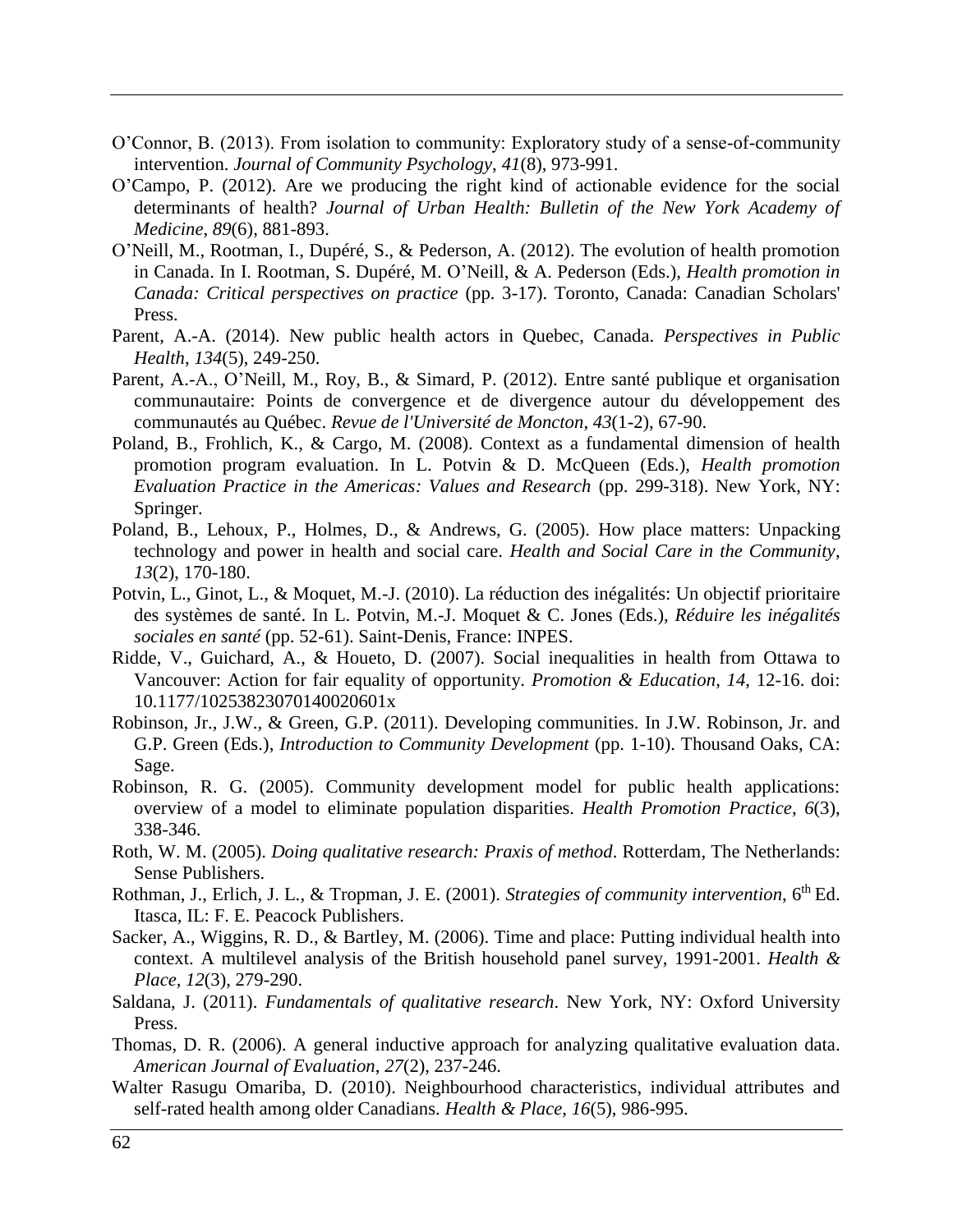- <span id="page-12-6"></span>O'Connor, B. (2013). From isolation to community: Exploratory study of a sense-of-community intervention. *Journal of Community Psychology*, *41*(8), 973-991.
- <span id="page-12-4"></span>O'Campo, P. (2012). Are we producing the right kind of actionable evidence for the social determinants of health? *Journal of Urban Health: Bulletin of the New York Academy of Medicine*, *89*(6), 881-893.
- <span id="page-12-15"></span>O'Neill, M., Rootman, I., Dupéré, S., & Pederson, A. (2012). The evolution of health promotion in Canada. In I. Rootman, S. Dupéré, M. O'Neill, & A. Pederson (Eds.), *Health promotion in Canada: Critical perspectives on practice* (pp. 3-17). Toronto, Canada: Canadian Scholars' Press.
- <span id="page-12-11"></span>Parent, A.-A. (2014). New public health actors in Quebec, Canada. *Perspectives in Public Health*, *134*(5), 249-250.
- <span id="page-12-10"></span>Parent, A.-A., O'Neill, M., Roy, B., & Simard, P. (2012). Entre santé publique et organisation communautaire: Points de convergence et de divergence autour du développement des communautés au Québec. *Revue de l'Université de Moncton*, *43*(1-2), 67-90.
- <span id="page-12-3"></span>Poland, B., Frohlich, K., & Cargo, M. (2008). Context as a fundamental dimension of health promotion program evaluation. In L. Potvin & D. McQueen (Eds.), *Health promotion Evaluation Practice in the Americas: Values and Research* (pp. 299-318). New York, NY: Springer.
- <span id="page-12-8"></span>Poland, B., Lehoux, P., Holmes, D., & Andrews, G. (2005). How place matters: Unpacking technology and power in health and social care. *Health and Social Care in the Community*, *13*(2), 170-180.
- <span id="page-12-0"></span>Potvin, L., Ginot, L., & Moquet, M.-J. (2010). La réduction des inégalités: Un objectif prioritaire des systèmes de santé. In L. Potvin, M.-J. Moquet & C. Jones (Eds.), *Réduire les inégalités sociales en santé* (pp. 52-61). Saint-Denis, France: INPES.
- <span id="page-12-1"></span>Ridde, V., Guichard, A., & Houeto, D. (2007). Social inequalities in health from Ottawa to Vancouver: Action for fair equality of opportunity. *Promotion & Education*, *14*, 12-16. doi: 10.1177/10253823070140020601x
- <span id="page-12-7"></span>Robinson, Jr., J.W., & Green, G.P. (2011). Developing communities. In J.W. Robinson, Jr. and G.P. Green (Eds.), *Introduction to Community Development* (pp. 1-10). Thousand Oaks, CA: Sage.
- <span id="page-12-5"></span>Robinson, R. G. (2005). Community development model for public health applications: overview of a model to eliminate population disparities. *Health Promotion Practice*, *6*(3), 338-346.
- <span id="page-12-12"></span>Roth, W. M. (2005). *Doing qualitative research: Praxis of method*. Rotterdam, The Netherlands: Sense Publishers.
- <span id="page-12-9"></span>Rothman, J., Erlich, J. L., & Tropman, J. E. (2001). *Strategies of community intervention*, 6th Ed. Itasca, IL: F. E. Peacock Publishers.
- <span id="page-12-2"></span>Sacker, A., Wiggins, R. D., & Bartley, M. (2006). Time and place: Putting individual health into context. A multilevel analysis of the British household panel survey, 1991-2001. *Health & Place*, *12*(3), 279-290.
- <span id="page-12-14"></span>Saldana, J. (2011). *Fundamentals of qualitative research*. New York, NY: Oxford University Press.
- <span id="page-12-13"></span>Thomas, D. R. (2006). A general inductive approach for analyzing qualitative evaluation data. *American Journal of Evaluation*, *27*(2), 237-246.
- Walter Rasugu Omariba, D. (2010). Neighbourhood characteristics, individual attributes and self-rated health among older Canadians. *Health & Place*, *16*(5), 986-995.